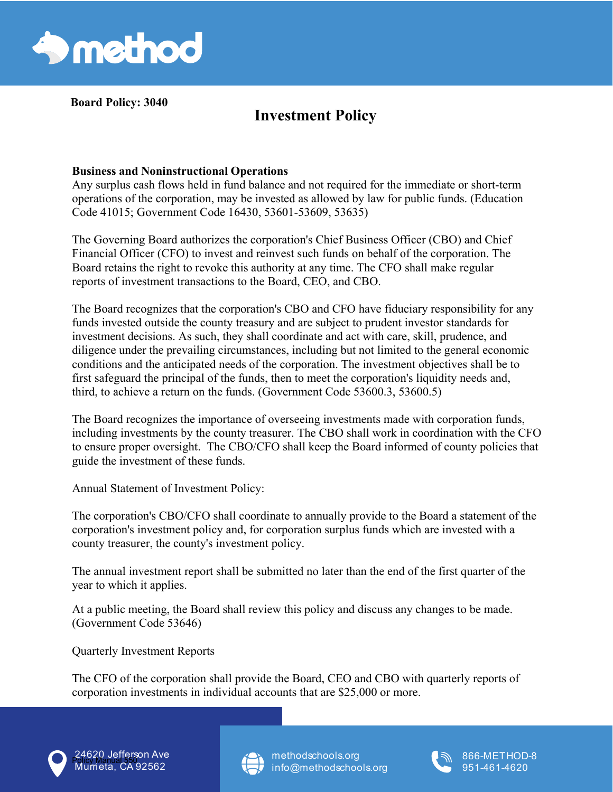

**Board Policy: 3040** 

## **Investment Policy**

## **Business and Noninstructional Operations**

Any surplus cash flows held in fund balance and not required for the immediate or short-term operations of the corporation, may be invested as allowed by law for public funds. (Education Code 41015; Government Code 16430, 53601-53609, 53635)

The Governing Board authorizes the corporation's Chief Business Officer (CBO) and Chief Financial Officer (CFO) to invest and reinvest such funds on behalf of the corporation. The Board retains the right to revoke this authority at any time. The CFO shall make regular reports of investment transactions to the Board, CEO, and CBO.

The Board recognizes that the corporation's CBO and CFO have fiduciary responsibility for any funds invested outside the county treasury and are subject to prudent investor standards for investment decisions. As such, they shall coordinate and act with care, skill, prudence, and diligence under the prevailing circumstances, including but not limited to the general economic conditions and the anticipated needs of the corporation. The investment objectives shall be to first safeguard the principal of the funds, then to meet the corporation's liquidity needs and, third, to achieve a return on the funds. (Government Code 53600.3, 53600.5)

The Board recognizes the importance of overseeing investments made with corporation funds, including investments by the county treasurer. The CBO shall work in coordination with the CFO to ensure proper oversight. The CBO/CFO shall keep the Board informed of county policies that guide the investment of these funds.

Annual Statement of Investment Policy:

The corporation's CBO/CFO shall coordinate to annually provide to the Board a statement of the corporation's investment policy and, for corporation surplus funds which are invested with a county treasurer, the county's investment policy.

The annual investment report shall be submitted no later than the end of the first quarter of the year to which it applies.

At a public meeting, the Board shall review this policy and discuss any changes to be made. (Government Code 53646)

Quarterly Investment Reports

The CFO of the corporation shall provide the Board, CEO and CBO with quarterly reports of corporation investments in individual accounts that are \$25,000 or more.